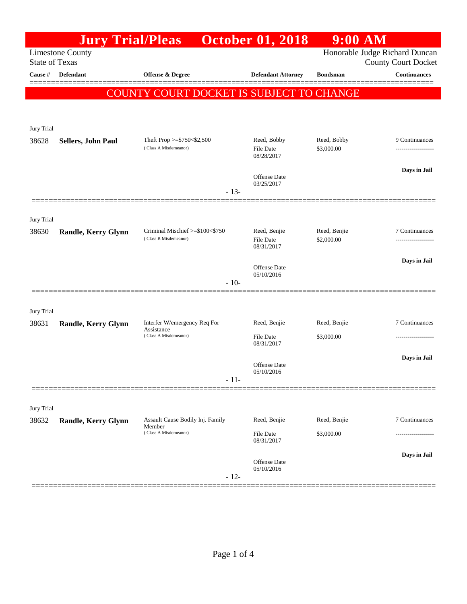|                       | <b>Jury Trial/Pleas</b>    |                                                          | <b>October 01, 2018</b>                       | $9:00$ AM                  |                                                              |
|-----------------------|----------------------------|----------------------------------------------------------|-----------------------------------------------|----------------------------|--------------------------------------------------------------|
| <b>State of Texas</b> | Limestone County           |                                                          |                                               |                            | Honorable Judge Richard Duncan<br><b>County Court Docket</b> |
| Cause #               | <b>Defendant</b>           | Offense & Degree                                         | <b>Defendant Attorney</b>                     | <b>Bondsman</b>            | <b>Continuances</b>                                          |
|                       |                            | COUNTY COURT DOCKET IS SUBJECT TO CHANGE                 |                                               |                            |                                                              |
|                       |                            |                                                          |                                               |                            |                                                              |
|                       |                            |                                                          |                                               |                            |                                                              |
| Jury Trial            |                            |                                                          |                                               |                            |                                                              |
| 38628                 | Sellers, John Paul         | Theft Prop $>=$ \$750 < \$2,500<br>(Class A Misdemeanor) | Reed, Bobby<br><b>File Date</b><br>08/28/2017 | Reed, Bobby<br>\$3,000.00  | 9 Continuances                                               |
|                       |                            |                                                          | Offense Date<br>03/25/2017                    |                            | Days in Jail                                                 |
|                       |                            | $-13-$                                                   |                                               |                            |                                                              |
|                       |                            |                                                          |                                               |                            |                                                              |
| Jury Trial<br>38630   | <b>Randle, Kerry Glynn</b> | Criminal Mischief >=\$100<\$750<br>(Class B Misdemeanor) | Reed, Benjie<br>File Date<br>08/31/2017       | Reed, Benjie<br>\$2,000.00 | 7 Continuances<br>.                                          |
|                       |                            |                                                          |                                               |                            | Days in Jail                                                 |
|                       |                            |                                                          | Offense Date<br>05/10/2016                    |                            |                                                              |
|                       |                            | $-10-$                                                   |                                               |                            |                                                              |
|                       |                            |                                                          |                                               |                            |                                                              |
| Jury Trial<br>38631   | Randle, Kerry Glynn        | Interfer W/emergency Req For                             | Reed, Benjie                                  | Reed, Benjie               | 7 Continuances                                               |
|                       |                            | Assistance<br>(Class A Misdemeanor)                      | File Date<br>08/31/2017                       | \$3,000.00                 | .                                                            |
|                       |                            |                                                          | Offense Date                                  |                            | Days in Jail                                                 |
|                       |                            | $-11-$                                                   | 05/10/2016                                    |                            |                                                              |
|                       |                            |                                                          |                                               |                            |                                                              |
| Jury Trial            |                            |                                                          |                                               |                            |                                                              |
| 38632                 | Randle, Kerry Glynn        | Assault Cause Bodily Inj. Family<br>Member               | Reed, Benjie                                  | Reed, Benjie               | 7 Continuances                                               |
|                       |                            | (Class A Misdemeanor)                                    | File Date<br>08/31/2017                       | \$3,000.00                 |                                                              |
|                       |                            |                                                          | Offense Date                                  |                            | Days in Jail                                                 |
|                       |                            | $-12-$                                                   | 05/10/2016                                    |                            |                                                              |
|                       |                            |                                                          |                                               |                            |                                                              |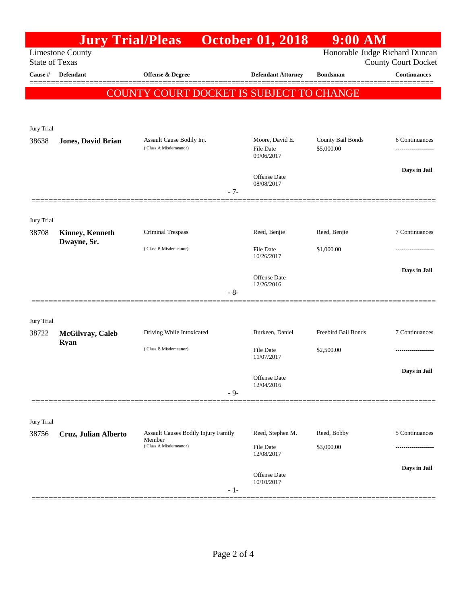|                       | <b>Jury Trial/Pleas</b>         |                                                    |       | <b>October 01, 2018</b>                           | $9:00$ AM                       |                                                              |
|-----------------------|---------------------------------|----------------------------------------------------|-------|---------------------------------------------------|---------------------------------|--------------------------------------------------------------|
| <b>State of Texas</b> | <b>Limestone County</b>         |                                                    |       |                                                   |                                 | Honorable Judge Richard Duncan<br><b>County Court Docket</b> |
| Cause #               | <b>Defendant</b>                | <b>Offense &amp; Degree</b>                        |       | <b>Defendant Attorney</b>                         | <b>Bondsman</b>                 | <b>Continuances</b>                                          |
|                       |                                 | COUNTY COURT DOCKET IS SUBJECT TO CHANGE           |       |                                                   |                                 |                                                              |
| Jury Trial            |                                 |                                                    |       |                                                   |                                 |                                                              |
| 38638                 | <b>Jones, David Brian</b>       | Assault Cause Bodily Inj.<br>(Class A Misdemeanor) |       | Moore, David E.<br><b>File Date</b><br>09/06/2017 | County Bail Bonds<br>\$5,000.00 | 6 Continuances                                               |
|                       |                                 |                                                    | $-7-$ | Offense Date<br>08/08/2017                        |                                 | Days in Jail                                                 |
| Jury Trial<br>38708   | <b>Kinney, Kenneth</b>          | Criminal Trespass                                  |       | Reed, Benjie                                      | Reed, Benjie                    | 7 Continuances                                               |
|                       | Dwayne, Sr.                     | (Class B Misdemeanor)                              |       | <b>File Date</b><br>10/26/2017                    | \$1,000.00                      |                                                              |
|                       |                                 |                                                    | - 8-  | Offense Date<br>12/26/2016                        |                                 | Days in Jail                                                 |
| Jury Trial            |                                 |                                                    |       |                                                   |                                 |                                                              |
| 38722                 | McGilvray, Caleb<br><b>Ryan</b> | Driving While Intoxicated                          |       | Burkeen, Daniel                                   | Freebird Bail Bonds             | 7 Continuances                                               |
|                       |                                 | (Class B Misdemeanor)                              |       | <b>File Date</b><br>11/07/2017                    | \$2,500.00                      |                                                              |
|                       |                                 |                                                    | $-9-$ | Offense Date<br>12/04/2016                        |                                 | Days in Jail                                                 |
|                       |                                 |                                                    |       |                                                   |                                 |                                                              |
| Jury Trial            |                                 |                                                    |       |                                                   |                                 |                                                              |
| 38756                 | Cruz, Julian Alberto            | Assault Causes Bodily Injury Family<br>Member      |       | Reed, Stephen M.                                  | Reed, Bobby                     | 5 Continuances                                               |
|                       |                                 | (Class A Misdemeanor)                              |       | File Date<br>12/08/2017                           | \$3,000.00                      |                                                              |
|                       |                                 |                                                    | $-1-$ | Offense Date<br>10/10/2017                        |                                 | Days in Jail                                                 |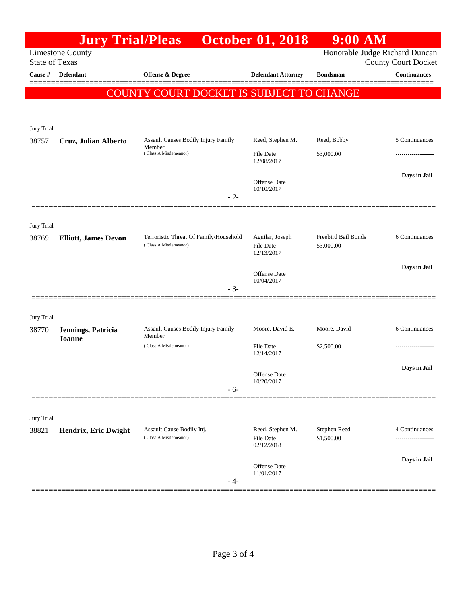|                       | <b>Jury Trial/Pleas</b>     |                                               | <b>October 01, 2018</b>        | $9:00$ AM                      |                                                   |
|-----------------------|-----------------------------|-----------------------------------------------|--------------------------------|--------------------------------|---------------------------------------------------|
| <b>State of Texas</b> | <b>Limestone County</b>     |                                               |                                | Honorable Judge Richard Duncan |                                                   |
| Cause #               | <b>Defendant</b>            | Offense & Degree                              | <b>Defendant Attorney</b>      | <b>Bondsman</b>                | <b>County Court Docket</b><br><b>Continuances</b> |
|                       |                             |                                               |                                |                                |                                                   |
|                       |                             | COUNTY COURT DOCKET IS SUBJECT TO CHANGE      |                                |                                |                                                   |
|                       |                             |                                               |                                |                                |                                                   |
| Jury Trial            |                             |                                               |                                |                                |                                                   |
| 38757                 | Cruz, Julian Alberto        | Assault Causes Bodily Injury Family<br>Member | Reed, Stephen M.               | Reed, Bobby                    | 5 Continuances                                    |
|                       |                             | (Class A Misdemeanor)                         | <b>File Date</b><br>12/08/2017 | \$3,000.00                     | ----------------                                  |
|                       |                             |                                               |                                |                                | Days in Jail                                      |
|                       |                             |                                               | Offense Date<br>10/10/2017     |                                |                                                   |
|                       |                             | $-2-$                                         |                                |                                |                                                   |
| Jury Trial            |                             |                                               |                                |                                |                                                   |
| 38769                 | <b>Elliott, James Devon</b> | Terroristic Threat Of Family/Household        | Aguilar, Joseph                | Freebird Bail Bonds            | 6 Continuances                                    |
|                       |                             | (Class A Misdemeanor)                         | File Date<br>12/13/2017        | \$3,000.00                     |                                                   |
|                       |                             |                                               |                                |                                | Days in Jail                                      |
|                       |                             |                                               | Offense Date<br>10/04/2017     |                                |                                                   |
|                       |                             | $-3-$                                         |                                |                                |                                                   |
|                       |                             |                                               |                                |                                |                                                   |
| Jury Trial<br>38770   | Jennings, Patricia          | Assault Causes Bodily Injury Family           | Moore, David E.                | Moore, David                   | 6 Continuances                                    |
|                       | Joanne                      | Member                                        |                                |                                |                                                   |
|                       |                             | (Class A Misdemeanor)                         | File Date<br>12/14/2017        | \$2,500.00                     |                                                   |
|                       |                             |                                               |                                |                                | Days in Jail                                      |
|                       |                             |                                               | Offense Date<br>10/20/2017     |                                |                                                   |
|                       |                             | $-6-$                                         |                                |                                |                                                   |
| Jury Trial            |                             |                                               |                                |                                |                                                   |
| 38821                 | Hendrix, Eric Dwight        | Assault Cause Bodily Inj.                     | Reed, Stephen M.               | Stephen Reed                   | 4 Continuances                                    |
|                       |                             | (Class A Misdemeanor)                         | File Date<br>02/12/2018        | \$1,500.00                     |                                                   |
|                       |                             |                                               |                                |                                | Days in Jail                                      |
|                       |                             |                                               | Offense Date<br>11/01/2017     |                                |                                                   |
|                       |                             | - 4-                                          |                                |                                |                                                   |